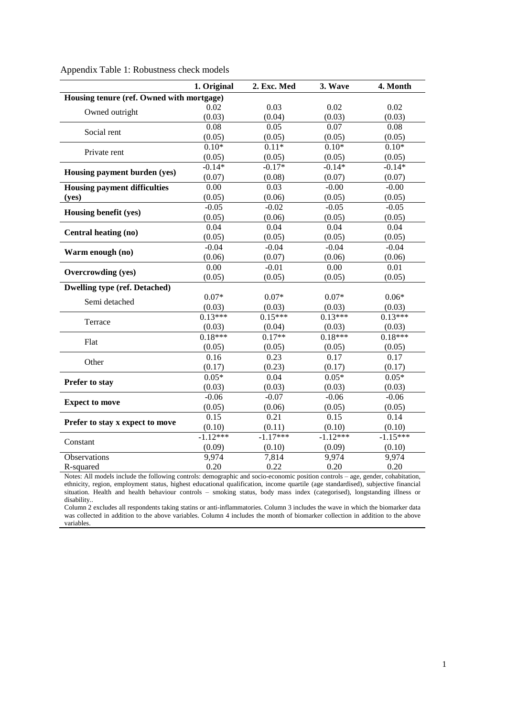|                                           | 1. Original       | 2. Exc. Med | 3. Wave           | 4. Month   |  |  |  |
|-------------------------------------------|-------------------|-------------|-------------------|------------|--|--|--|
| Housing tenure (ref. Owned with mortgage) |                   |             |                   |            |  |  |  |
| Owned outright                            | 0.02              | 0.03        | 0.02              | 0.02       |  |  |  |
|                                           | (0.03)            | (0.04)      | (0.03)            | (0.03)     |  |  |  |
| Social rent                               | 0.08              | 0.05        | $\overline{0.07}$ | 0.08       |  |  |  |
|                                           | (0.05)            | (0.05)      | (0.05)            | (0.05)     |  |  |  |
| Private rent                              | $0.10*$           | $0.11*$     | $0.10*$           | $0.10*$    |  |  |  |
|                                           | (0.05)            | (0.05)      | (0.05)            | (0.05)     |  |  |  |
|                                           | $-0.14*$          | $-0.17*$    | $-0.14*$          | $-0.14*$   |  |  |  |
| Housing payment burden (yes)              | (0.07)            | (0.08)      | (0.07)            | (0.07)     |  |  |  |
| <b>Housing payment difficulties</b>       | $\overline{0.00}$ | 0.03        | $-0.00$           | $-0.00$    |  |  |  |
| (yes)                                     | (0.05)            | (0.06)      | (0.05)            | (0.05)     |  |  |  |
| Housing benefit (yes)                     | $-0.05$           | $-0.02$     | $-0.05$           | $-0.05$    |  |  |  |
|                                           | (0.05)            | (0.06)      | (0.05)            | (0.05)     |  |  |  |
|                                           | 0.04              | 0.04        | 0.04              | 0.04       |  |  |  |
| <b>Central heating (no)</b>               | (0.05)            | (0.05)      | (0.05)            | (0.05)     |  |  |  |
|                                           | $-0.04$           | $-0.04$     | $-0.04$           | $-0.04$    |  |  |  |
| Warm enough (no)                          | (0.06)            | (0.07)      | (0.06)            | (0.06)     |  |  |  |
|                                           | $\overline{0.00}$ | $-0.01$     | $\overline{0.00}$ | 0.01       |  |  |  |
| <b>Overcrowding (yes)</b>                 | (0.05)            | (0.05)      | (0.05)            | (0.05)     |  |  |  |
| <b>Dwelling type (ref. Detached)</b>      |                   |             |                   |            |  |  |  |
| Semi detached                             | $0.07*$           | $0.07*$     | $0.07*$           | $0.06*$    |  |  |  |
|                                           | (0.03)            | (0.03)      | (0.03)            | (0.03)     |  |  |  |
| Terrace                                   | $0.13***$         | $0.15***$   | $0.13***$         | $0.13***$  |  |  |  |
|                                           | (0.03)            | (0.04)      | (0.03)            | (0.03)     |  |  |  |
| Flat                                      | $0.18***$         | $0.17**$    | $0.18***$         | $0.18***$  |  |  |  |
|                                           | (0.05)            | (0.05)      | (0.05)            | (0.05)     |  |  |  |
| Other                                     | 0.16              | 0.23        | 0.17              | 0.17       |  |  |  |
|                                           | (0.17)            | (0.23)      | (0.17)            | (0.17)     |  |  |  |
| Prefer to stay                            | $0.05*$           | 0.04        | $0.05*$           | $0.05*$    |  |  |  |
|                                           | (0.03)            | (0.03)      | (0.03)            | (0.03)     |  |  |  |
|                                           | $-0.06$           | $-0.07$     | $-0.06$           | $-0.06$    |  |  |  |
| <b>Expect to move</b>                     | (0.05)            | (0.06)      | (0.05)            | (0.05)     |  |  |  |
| Prefer to stay x expect to move           | 0.15              | 0.21        | 0.15              | 0.14       |  |  |  |
|                                           | (0.10)            | (0.11)      | (0.10)            | (0.10)     |  |  |  |
| Constant                                  | $-1.12***$        | $-1.17***$  | $-1.12***$        | $-1.15***$ |  |  |  |
|                                           | (0.09)            | (0.10)      | (0.09)            | (0.10)     |  |  |  |
| Observations                              | 9,974             | 7,814       | 9,974             | 9,974      |  |  |  |
| R-squared                                 | 0.20              | 0.22        | 0.20              | 0.20       |  |  |  |

Appendix Table 1: Robustness check models

Notes: All models include the following controls: demographic and socio-economic position controls – age, gender, cohabitation, ethnicity, region, employment status, highest educational qualification, income quartile (age standardised), subjective financial situation. Health and health behaviour controls – smoking status, body mass index (categorised), longstanding illness or disability..

Column 2 excludes all respondents taking statins or anti-inflammatories. Column 3 includes the wave in which the biomarker data was collected in addition to the above variables. Column 4 includes the month of biomarker collection in addition to the above variables.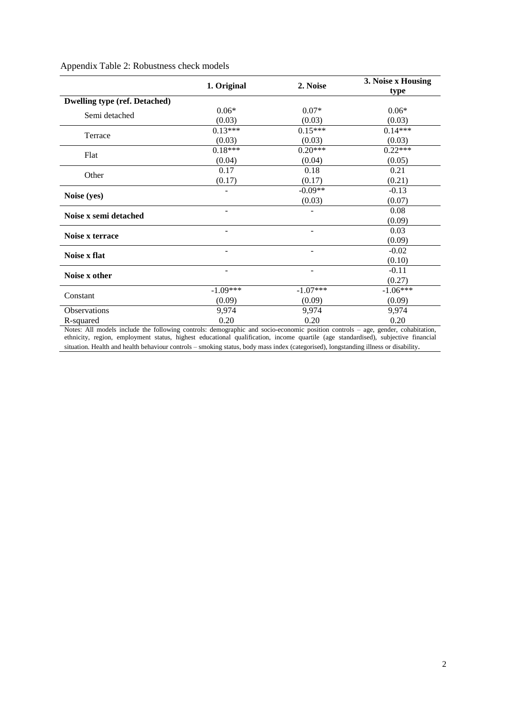|                                      | 1. Original | 2. Noise   | 3. Noise x Housing<br>type |
|--------------------------------------|-------------|------------|----------------------------|
| <b>Dwelling type (ref. Detached)</b> |             |            |                            |
| Semi detached                        | $0.06*$     | $0.07*$    | $0.06*$                    |
|                                      | (0.03)      | (0.03)     | (0.03)                     |
| Terrace                              | $0.13***$   | $0.15***$  | $0.14***$                  |
|                                      | (0.03)      | (0.03)     | (0.03)                     |
| Flat                                 | $0.18***$   | $0.20***$  | $0.22***$                  |
|                                      | (0.04)      | (0.04)     | (0.05)                     |
| Other                                | 0.17        | 0.18       | 0.21                       |
|                                      | (0.17)      | (0.17)     | (0.21)                     |
| Noise (yes)                          |             | $-0.09**$  | $-0.13$                    |
|                                      |             | (0.03)     | (0.07)                     |
| Noise x semi detached                | -           |            | 0.08                       |
|                                      |             |            | (0.09)                     |
| Noise x terrace                      | -           | ۰          | 0.03                       |
|                                      |             |            | (0.09)                     |
| Noise x flat                         | -           |            | $-0.02$                    |
|                                      |             |            | (0.10)                     |
| Noise x other                        | ۰           | ۰          | $-0.11$                    |
|                                      |             |            | (0.27)                     |
| Constant                             | $-1.09***$  | $-1.07***$ | $-1.06***$                 |
|                                      | (0.09)      | (0.09)     | (0.09)                     |
| Observations                         | 9,974       | 9,974      | 9,974                      |
| R-squared                            | 0.20        | 0.20       | 0.20                       |

## Appendix Table 2: Robustness check models

Notes: All models include the following controls: demographic and socio-economic position controls – age, gender, cohabitation, ethnicity, region, employment status, highest educational qualification, income quartile (age standardised), subjective financial situation. Health and health behaviour controls – smoking status, body mass index (categorised), longstanding illness or disability.